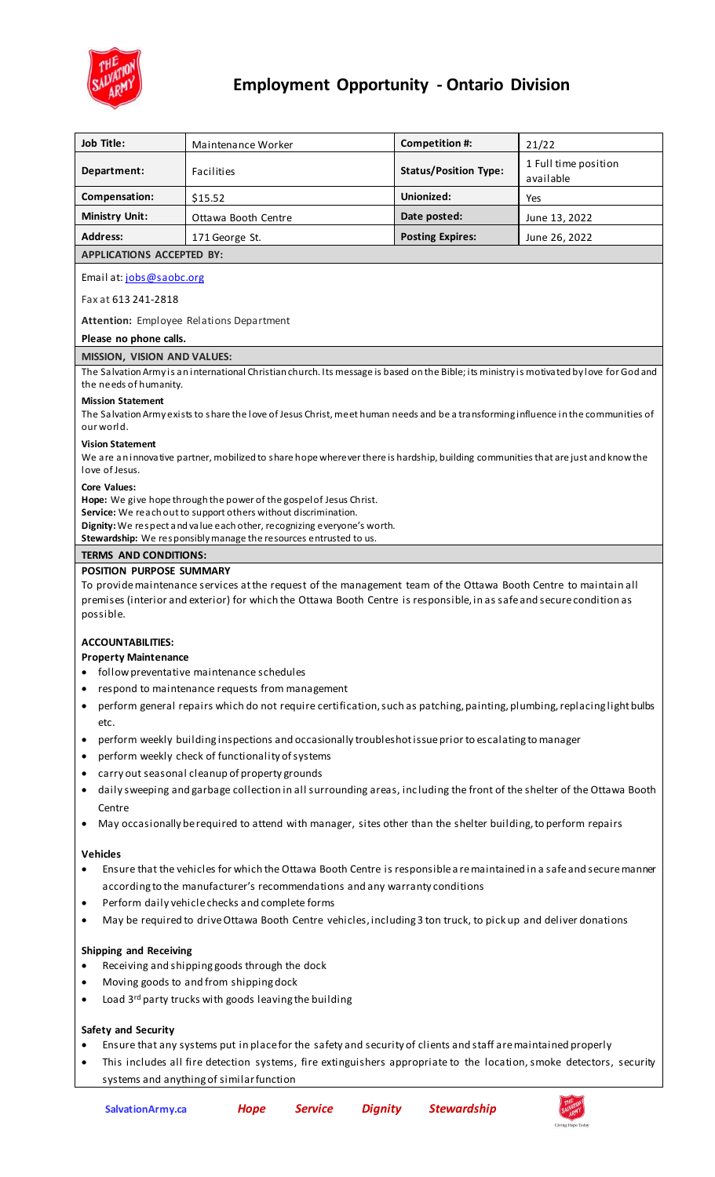

# **Employment Opportunity - Ontario Division**

| Job Title:                                                                                                                                                                                                                                                                                                                             | Maintenance Worker                                                                                                    | Competition #:               | 21/22                             |
|----------------------------------------------------------------------------------------------------------------------------------------------------------------------------------------------------------------------------------------------------------------------------------------------------------------------------------------|-----------------------------------------------------------------------------------------------------------------------|------------------------------|-----------------------------------|
| Department:                                                                                                                                                                                                                                                                                                                            | Facilities                                                                                                            | <b>Status/Position Type:</b> | 1 Full time position<br>available |
| Compensation:                                                                                                                                                                                                                                                                                                                          | \$15.52                                                                                                               | Unionized:                   | Yes                               |
| <b>Ministry Unit:</b>                                                                                                                                                                                                                                                                                                                  | Ottawa Booth Centre                                                                                                   | Date posted:                 | June 13, 2022                     |
| <b>Address:</b>                                                                                                                                                                                                                                                                                                                        | 171 George St.                                                                                                        | <b>Posting Expires:</b>      | June 26, 2022                     |
| <b>APPLICATIONS ACCEPTED BY:</b>                                                                                                                                                                                                                                                                                                       |                                                                                                                       |                              |                                   |
| Email at: jobs@saobc.org                                                                                                                                                                                                                                                                                                               |                                                                                                                       |                              |                                   |
| Fax at 613 241-2818                                                                                                                                                                                                                                                                                                                    |                                                                                                                       |                              |                                   |
| Attention: Employee Relations Department                                                                                                                                                                                                                                                                                               |                                                                                                                       |                              |                                   |
| Please no phone calls.                                                                                                                                                                                                                                                                                                                 |                                                                                                                       |                              |                                   |
| <b>MISSION, VISION AND VALUES:</b>                                                                                                                                                                                                                                                                                                     |                                                                                                                       |                              |                                   |
| The Salvation Army is an international Christian church. Its message is based on the Bible; its ministry is motivated by love for God and<br>the needs of humanity.<br><b>Mission Statement</b><br>The Salvation Army exists to share the love of Jesus Christ, meet human needs and be a transforming influence in the communities of |                                                                                                                       |                              |                                   |
| our world.                                                                                                                                                                                                                                                                                                                             |                                                                                                                       |                              |                                   |
| <b>Vision Statement</b><br>We are an innovative partner, mobilized to share hope wherever there is hardship, building communities that are just and know the<br>love of Jesus.                                                                                                                                                         |                                                                                                                       |                              |                                   |
| <b>Core Values:</b><br>Hope: We give hope through the power of the gospel of Jesus Christ.<br>Service: We reach out to support others without discrimination.<br>Dignity: We respect and value each other, recognizing everyone's worth.<br>Stewardship: We responsibly manage the resources entrusted to us.                          |                                                                                                                       |                              |                                   |
| <b>TERMS AND CONDITIONS:</b>                                                                                                                                                                                                                                                                                                           |                                                                                                                       |                              |                                   |
| <b>POSITION PURPOSE SUMMARY</b>                                                                                                                                                                                                                                                                                                        |                                                                                                                       |                              |                                   |
| To provide maintenance services at the request of the management team of the Ottawa Booth Centre to maintain all<br>premises (interior and exterior) for which the Ottawa Booth Centre is responsible, in as safe and secure condition as<br>possible.                                                                                 |                                                                                                                       |                              |                                   |
| <b>ACCOUNTABILITIES:</b>                                                                                                                                                                                                                                                                                                               |                                                                                                                       |                              |                                   |
| <b>Property Maintenance</b>                                                                                                                                                                                                                                                                                                            |                                                                                                                       |                              |                                   |
| follow preventative maintenance schedules                                                                                                                                                                                                                                                                                              |                                                                                                                       |                              |                                   |
| respond to maintenance requests from management<br>perform general repairs which do not require certification, such as patching, painting, plumbing, replacing light bulbs                                                                                                                                                             |                                                                                                                       |                              |                                   |
| ٠<br>etc.                                                                                                                                                                                                                                                                                                                              |                                                                                                                       |                              |                                   |
| perform weekly building inspections and occasionally troubleshot issue prior to escalating to manager                                                                                                                                                                                                                                  |                                                                                                                       |                              |                                   |
| perform weekly check of functionality of systems<br>$\bullet$<br>carry out seasonal cleanup of property grounds                                                                                                                                                                                                                        |                                                                                                                       |                              |                                   |
| daily sweeping and garbage collection in all surrounding areas, including the front of the shelter of the Ottawa Booth                                                                                                                                                                                                                 |                                                                                                                       |                              |                                   |
| Centre                                                                                                                                                                                                                                                                                                                                 |                                                                                                                       |                              |                                   |
| May occasionally be required to attend with manager, sites other than the shelter building, to perform repairs                                                                                                                                                                                                                         |                                                                                                                       |                              |                                   |
| <b>Vehicles</b>                                                                                                                                                                                                                                                                                                                        |                                                                                                                       |                              |                                   |
|                                                                                                                                                                                                                                                                                                                                        | Ensure that the vehicles for which the Ottawa Booth Centre is responsible a re maintained in a safe and secure manner |                              |                                   |
| according to the manufacturer's recommendations and any warranty conditions<br>Perform daily vehicle checks and complete forms<br>٠                                                                                                                                                                                                    |                                                                                                                       |                              |                                   |
| May be required to drive Ottawa Booth Centre vehicles, including 3 ton truck, to pick up and deliver donations<br>٠                                                                                                                                                                                                                    |                                                                                                                       |                              |                                   |
|                                                                                                                                                                                                                                                                                                                                        |                                                                                                                       |                              |                                   |
| <b>Shipping and Receiving</b><br>Receiving and shipping goods through the dock                                                                                                                                                                                                                                                         |                                                                                                                       |                              |                                   |
| Moving goods to and from shipping dock<br>٠                                                                                                                                                                                                                                                                                            |                                                                                                                       |                              |                                   |
| Load 3rd party trucks with goods leaving the building<br>$\bullet$                                                                                                                                                                                                                                                                     |                                                                                                                       |                              |                                   |
|                                                                                                                                                                                                                                                                                                                                        |                                                                                                                       |                              |                                   |
| Safety and Security                                                                                                                                                                                                                                                                                                                    |                                                                                                                       |                              |                                   |
| Ensure that any systems put in place for the safety and security of clients and staff are maintained properly<br>This includes all fire detection systems, fire extinguishers appropriate to the location, smoke detectors, security<br>$\bullet$                                                                                      |                                                                                                                       |                              |                                   |

systems and anything of similar function